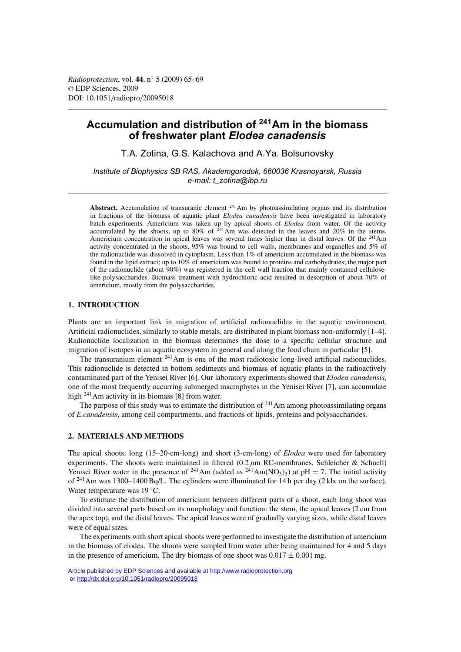# **Accumulation and distribution of 241Am in the biomass of freshwater plant** *Elodea canadensis*

T.A. Zotina, G.S. Kalachova and A.Ya. Bolsunovsky

*Institute of Biophysics SB RAS, Akademgorodok, 660036 Krasnoyarsk, Russia e-mail: t\_zotina@ibp.ru*

**Abstract.** Accumulation of transuranic element  $241$ Am by photoassimilating organs and its distribution in fractions of the biomass of aquatic plant *Elodea canadensis* have been investigated in laboratory batch experiments. Americium was taken up by apical shoots of *Elodea* from water. Of the activity accumulated by the shoots, up to 80% of  $^{241}$ Am was detected in the leaves and 20% in the stems. Americium concentration in apical leaves was several times higher than in distal leaves. Of the <sup>241</sup>Am activity concentrated in the shoots, 95% was bound to cell walls, membranes and organelles and 5% of the radionuclide was dissolved in cytoplasm. Less than 1% of americium accumulated in the biomass was found in the lipid extract; up to 10% of americium was bound to proteins and carbohydrates; the major part of the radionuclide (about 90%) was registered in the cell wall fraction that mainly contained celluloselike polysaccharides. Biomass treatment with hydrochloric acid resulted in desorption of about 70% of americium, mostly from the polysaccharides.

# **1. INTRODUCTION**

Plants are an important link in migration of artificial radionuclides in the aquatic environment. Artificial radionuclides, similarly to stable metals, are distributed in plant biomass non-uniformly [1–4]. Radionuclide localization in the biomass determines the dose to a specific cellular structure and migration of isotopes in an aquatic ecosystem in general and along the food chain in particular [5].

The transuranium element <sup>241</sup>Am is one of the most radiotoxic long-lived artificial radionuclides. This radionuclide is detected in bottom sediments and biomass of aquatic plants in the radioactively contaminated part of the Yenisei River [6]. Our laboratory experiments showed that *Elodea canadensis*, one of the most frequently occurring submerged macrophytes in the Yenisei River [7], can accumulate high <sup>241</sup>Am activity in its biomass [8] from water.

The purpose of this study was to estimate the distribution of  $241$  Am among photoassimilating organs of *E.canadensis*, among cell compartments, and fractions of lipids, proteins and polysaccharides.

## **2. MATERIALS AND METHODS**

The apical shoots: long (15–20-cm-long) and short (3-cm-long) of *Elodea* were used for laboratory experiments. The shoots were maintained in filtered  $(0.2 \mu m RC$ -membranes, Schleicher & Schuell) Yenisei River water in the presence of <sup>241</sup>Am (added as <sup>241</sup>Am(NO<sub>3</sub>)<sub>3</sub>) at pH = 7. The initial activity of <sup>241</sup>Am was 1300–1400 Bq/L. The cylinders were illuminated for 14 h per day (2 klx on the surface). Water temperature was 19 ◦C.

To estimate the distribution of americium between different parts of a shoot, each long shoot was divided into several parts based on its morphology and function: the stem, the apical leaves (2 cm from the apex top), and the distal leaves. The apical leaves were of gradually varying sizes, while distal leaves were of equal sizes.

The experiments with short apical shoots were performed to investigate the distribution of americium in the biomass of elodea. The shoots were sampled from water after being maintained for 4 and 5 days in the presence of americium. The dry biomass of one shoot was  $0.017 \pm 0.001$  mg.

Article published by [EDP Sciences](http://www.edpsciences.org) and available at<http://www.radioprotection.org> or <http://dx.doi.org/10.1051/radiopro/20095018>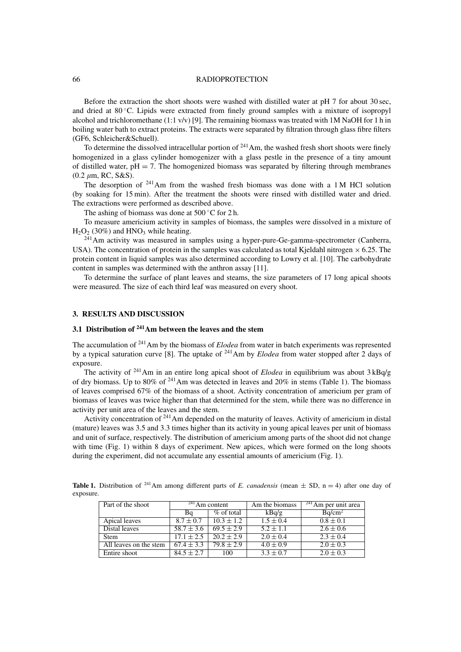### 66 RADIOPROTECTION

Before the extraction the short shoots were washed with distilled water at pH 7 for about 30 sec, and dried at  $80^{\circ}$ C. Lipids were extracted from finely ground samples with a mixture of isopropyl alcohol and trichloromethane (1:1  $v/v$ ) [9]. The remaining biomass was treated with 1M NaOH for 1 h in boiling water bath to extract proteins. The extracts were separated by filtration through glass fibre filters (GF6, Schleicher&Schuell).

To determine the dissolved intracellular portion of  $^{241}$ Am, the washed fresh short shoots were finely homogenized in a glass cylinder homogenizer with a glass pestle in the presence of a tiny amount of distilled water,  $pH = 7$ . The homogenized biomass was separated by filtering through membranes  $(0.2 \mu m, RC, S&S).$ 

The desorption of  $241$ Am from the washed fresh biomass was done with a 1M HCl solution (by soaking for 15 min). After the treatment the shoots were rinsed with distilled water and dried. The extractions were performed as described above.

The ashing of biomass was done at  $500\degree$ C for 2 h.

To measure americium activity in samples of biomass, the samples were dissolved in a mixture of  $H<sub>2</sub>O<sub>2</sub>$  (30%) and HNO<sub>3</sub> while heating.

 $241$ Am activity was measured in samples using a hyper-pure-Ge-gamma-spectrometer (Canberra, USA). The concentration of protein in the samples was calculated as total Kjeldahl nitrogen  $\times$  6.25. The protein content in liquid samples was also determined according to Lowry et al. [10]. The carbohydrate content in samples was determined with the anthron assay [11].

To determine the surface of plant leaves and steams, the size parameters of 17 long apical shoots were measured. The size of each third leaf was measured on every shoot.

# **3. RESULTS AND DISCUSSION**

# **3.1 Distribution of 241Am between the leaves and the stem**

The accumulation of 241Am by the biomass of *Elodea* from water in batch experiments was represented by a typical saturation curve [8]. The uptake of 241Am by *Elodea* from water stopped after 2 days of exposure.

The activity of 241Am in an entire long apical shoot of *Elodea* in equilibrium was about 3 kBq/g of dry biomass. Up to 80% of  $^{241}$ Am was detected in leaves and 20% in stems (Table 1). The biomass of leaves comprised 67% of the biomass of a shoot. Activity concentration of americium per gram of biomass of leaves was twice higher than that determined for the stem, while there was no difference in activity per unit area of the leaves and the stem.

Activity concentration of  $241$  Am depended on the maturity of leaves. Activity of americium in distal (mature) leaves was 3.5 and 3.3 times higher than its activity in young apical leaves per unit of biomass and unit of surface, respectively. The distribution of americium among parts of the shoot did not change with time (Fig. 1) within 8 days of experiment. New apices, which were formed on the long shoots during the experiment, did not accumulate any essential amounts of americium (Fig. 1).

|           | <b>Table 1.</b> Distribution of <sup>241</sup> Am among different parts of E. canadensis (mean $\pm$ SD, n = 4) after one day of |  |  |  |  |  |  |  |
|-----------|----------------------------------------------------------------------------------------------------------------------------------|--|--|--|--|--|--|--|
| exposure. |                                                                                                                                  |  |  |  |  |  |  |  |

| Part of the shoot      |                | $^{241}$ Am content | Am the biomass | $^{241}$ Am per unit area |  |  |
|------------------------|----------------|---------------------|----------------|---------------------------|--|--|
|                        | Bq             | $\%$ of total       | kBq/g          | Bq/cm <sup>2</sup>        |  |  |
| Apical leaves          | $8.7 \pm 0.7$  | $10.3 \pm 1.2$      | $1.5 \pm 0.4$  | $0.8 \pm 0.1$             |  |  |
| Distal leaves          | $58.7 \pm 3.6$ | $69.5 \pm 2.9$      | $5.2 \pm 1.1$  | $2.6 \pm 0.6$             |  |  |
| <b>Stem</b>            | $17.1 \pm 2.5$ | $20.2 \pm 2.9$      | $2.0 \pm 0.4$  | $2.3 \pm 0.4$             |  |  |
| All leaves on the stem | $67.4 \pm 3.3$ | $79.8 \pm 2.9$      | $4.0 \pm 0.9$  | $2.0 \pm 0.3$             |  |  |
| Entire shoot           | $84.5 \pm 2.7$ | 100                 | $3.3 \pm 0.7$  | $2.0 \pm 0.3$             |  |  |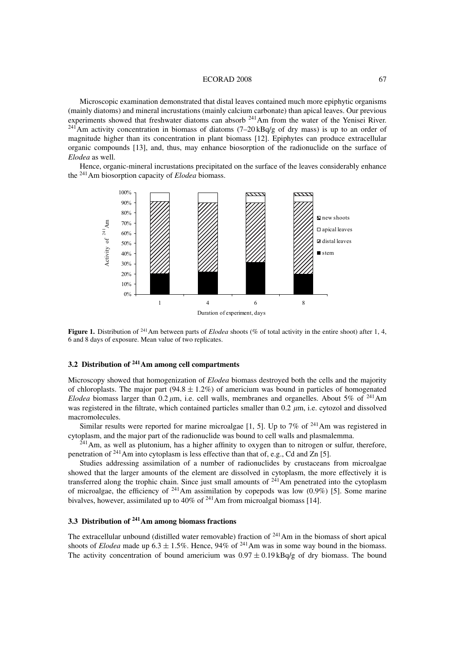#### ECORAD 2008 67

Microscopic examination demonstrated that distal leaves contained much more epiphytic organisms (mainly diatoms) and mineral incrustations (mainly calcium carbonate) than apical leaves. Our previous experiments showed that freshwater diatoms can absorb <sup>241</sup>Am from the water of the Yenisei River. <sup>241</sup>Am activity concentration in biomass of diatoms  $(7-20kBq/g)$  of dry mass) is up to an order of magnitude higher than its concentration in plant biomass [12]. Epiphytes can produce extracellular organic compounds [13], and, thus, may enhance biosorption of the radionuclide on the surface of *Elodea* as well.

Hence, organic-mineral incrustations precipitated on the surface of the leaves considerably enhance the 241Am biosorption capacity of *Elodea* biomass.



**Figure 1.** Distribution of <sup>241</sup>Am between parts of *Elodea* shoots (% of total activity in the entire shoot) after 1, 4, 6 and 8 days of exposure. Mean value of two replicates.

# **3.2 Distribution of 241Am among cell compartments**

Microscopy showed that homogenization of *Elodea* biomass destroyed both the cells and the majority of chloroplasts. The major part  $(94.8 \pm 1.2\%)$  of americium was bound in particles of homogenated *Elodea* biomass larger than 0.2  $\mu$ m, i.e. cell walls, membranes and organelles. About 5% of <sup>241</sup>Am was registered in the filtrate, which contained particles smaller than  $0.2 \mu m$ , i.e. cytozol and dissolved macromolecules.

Similar results were reported for marine microalgae  $[1, 5]$ . Up to 7% of <sup>241</sup>Am was registered in cytoplasm, and the major part of the radionuclide was bound to cell walls and plasmalemma.

 $241$ Am, as well as plutonium, has a higher affinity to oxygen than to nitrogen or sulfur, therefore, penetration of  $^{241}$  Am into cytoplasm is less effective than that of, e.g., Cd and Zn [5].

Studies addressing assimilation of a number of radionuclides by crustaceans from microalgae showed that the larger amounts of the element are dissolved in cytoplasm, the more effectively it is transferred along the trophic chain. Since just small amounts of  $241$ Am penetrated into the cytoplasm of microalgae, the efficiency of  $^{241}$ Am assimilation by copepods was low (0.9%) [5]. Some marine bivalves, however, assimilated up to 40% of 241Am from microalgal biomass [14].

# **3.3 Distribution of 241Am among biomass fractions**

The extracellular unbound (distilled water removable) fraction of  $241$  Am in the biomass of short apical shoots of *Elodea* made up  $6.3 \pm 1.5\%$ . Hence, 94% of <sup>241</sup>Am was in some way bound in the biomass. The activity concentration of bound americium was  $0.97 \pm 0.19$  kBq/g of dry biomass. The bound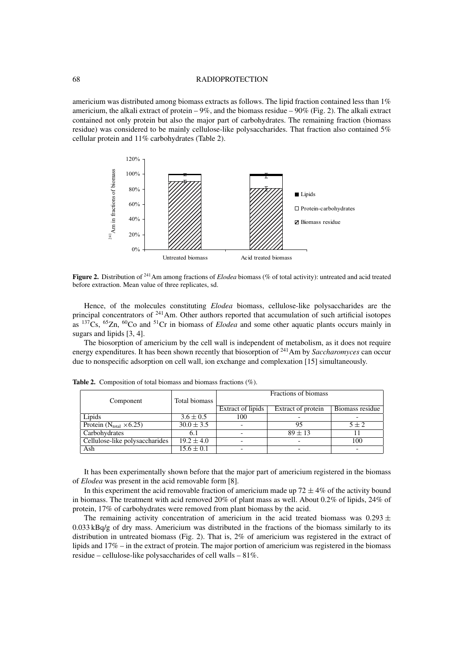### 68 RADIOPROTECTION

americium was distributed among biomass extracts as follows. The lipid fraction contained less than 1% americium, the alkali extract of protein – 9%, and the biomass residue – 90% (Fig. 2). The alkali extract contained not only protein but also the major part of carbohydrates. The remaining fraction (biomass residue) was considered to be mainly cellulose-like polysaccharides. That fraction also contained 5% cellular protein and 11% carbohydrates (Table 2).



Figure 2. Distribution of <sup>241</sup>Am among fractions of *Elodea* biomass (% of total activity): untreated and acid treated before extraction. Mean value of three replicates, sd.

Hence, of the molecules constituting *Elodea* biomass, cellulose-like polysaccharides are the principal concentrators of <sup>241</sup>Am. Other authors reported that accumulation of such artificial isotopes as 137Cs, 65Zn, 60Co and 51Cr in biomass of *Elodea* and some other aquatic plants occurs mainly in sugars and lipids [3, 4].

The biosorption of americium by the cell wall is independent of metabolism, as it does not require energy expenditures. It has been shown recently that biosorption of <sup>241</sup>Am by *Saccharomyces* can occur due to nonspecific adsorption on cell wall, ion exchange and complexation [15] simultaneously.

|                                   |                | Fractions of biomass |                    |                 |  |  |  |
|-----------------------------------|----------------|----------------------|--------------------|-----------------|--|--|--|
| Component                         | Total biomass  |                      |                    |                 |  |  |  |
|                                   |                | Extract of lipids    | Extract of protein | Biomass residue |  |  |  |
| Lipids                            | $3.6 \pm 0.5$  | 100                  |                    |                 |  |  |  |
| Protein $(N_{total} \times 6.25)$ | $30.0 \pm 3.5$ |                      | 95                 | $5 \pm 2$       |  |  |  |
| Carbohydrates                     | 6. I           |                      | $89 \pm 13$        |                 |  |  |  |
| Cellulose-like polysaccharides    | $19.2 \pm 4.0$ |                      |                    | 100             |  |  |  |
| Ash                               | $15.6 \pm 0.1$ |                      |                    |                 |  |  |  |

**Table 2.** Composition of total biomass and biomass fractions (%).

It has been experimentally shown before that the major part of americium registered in the biomass of *Elodea* was present in the acid removable form [8].

In this experiment the acid removable fraction of americium made up  $72 \pm 4\%$  of the activity bound in biomass. The treatment with acid removed 20% of plant mass as well. About 0.2% of lipids, 24% of protein, 17% of carbohydrates were removed from plant biomass by the acid.

The remaining activity concentration of americium in the acid treated biomass was  $0.293 \pm$  $0.033$  kBq/g of dry mass. Americium was distributed in the fractions of the biomass similarly to its distribution in untreated biomass (Fig. 2). That is, 2% of americium was registered in the extract of lipids and 17% – in the extract of protein. The major portion of americium was registered in the biomass residue – cellulose-like polysaccharides of cell walls – 81%.